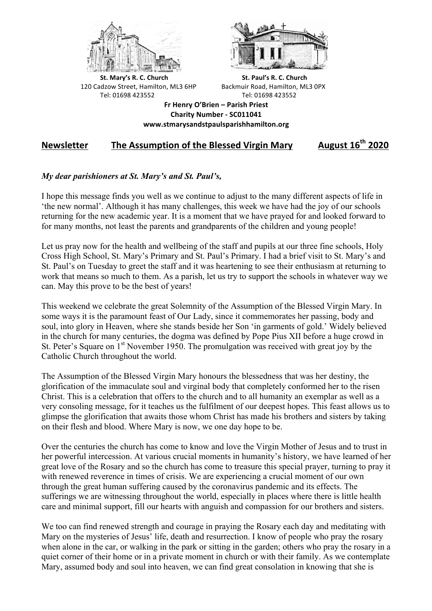



**St.** Mary's R. C. Church St. Paul's R. C. Church 120 Cadzow Street, Hamilton, ML3 6HP Backmuir Road, Hamilton, ML3 0PX Tel: 01698 423552 Tel: 01698 423552

**Fr Henry O'Brien – Parish Priest Charity Number - SC011041 www.stmarysandstpaulsparishhamilton.org**

## **Newsletter** The Assumption of the Blessed Virgin Mary August 16<sup>th</sup> 2020

## *My dear parishioners at St. Mary's and St. Paul's,*

I hope this message finds you well as we continue to adjust to the many different aspects of life in 'the new normal'. Although it has many challenges, this week we have had the joy of our schools returning for the new academic year. It is a moment that we have prayed for and looked forward to for many months, not least the parents and grandparents of the children and young people!

Let us pray now for the health and wellbeing of the staff and pupils at our three fine schools, Holy Cross High School, St. Mary's Primary and St. Paul's Primary. I had a brief visit to St. Mary's and St. Paul's on Tuesday to greet the staff and it was heartening to see their enthusiasm at returning to work that means so much to them. As a parish, let us try to support the schools in whatever way we can. May this prove to be the best of years!

This weekend we celebrate the great Solemnity of the Assumption of the Blessed Virgin Mary. In some ways it is the paramount feast of Our Lady, since it commemorates her passing, body and soul, into glory in Heaven, where she stands beside her Son 'in garments of gold.' Widely believed in the church for many centuries, the dogma was defined by Pope Pius XII before a huge crowd in St. Peter's Square on 1<sup>st</sup> November 1950. The promulgation was received with great joy by the Catholic Church throughout the world.

The Assumption of the Blessed Virgin Mary honours the blessedness that was her destiny, the glorification of the immaculate soul and virginal body that completely conformed her to the risen Christ. This is a celebration that offers to the church and to all humanity an exemplar as well as a very consoling message, for it teaches us the fulfilment of our deepest hopes. This feast allows us to glimpse the glorification that awaits those whom Christ has made his brothers and sisters by taking on their flesh and blood. Where Mary is now, we one day hope to be.

Over the centuries the church has come to know and love the Virgin Mother of Jesus and to trust in her powerful intercession. At various crucial moments in humanity's history, we have learned of her great love of the Rosary and so the church has come to treasure this special prayer, turning to pray it with renewed reverence in times of crisis. We are experiencing a crucial moment of our own through the great human suffering caused by the coronavirus pandemic and its effects. The sufferings we are witnessing throughout the world, especially in places where there is little health care and minimal support, fill our hearts with anguish and compassion for our brothers and sisters.

We too can find renewed strength and courage in praying the Rosary each day and meditating with Mary on the mysteries of Jesus' life, death and resurrection. I know of people who pray the rosary when alone in the car, or walking in the park or sitting in the garden; others who pray the rosary in a quiet corner of their home or in a private moment in church or with their family. As we contemplate Mary, assumed body and soul into heaven, we can find great consolation in knowing that she is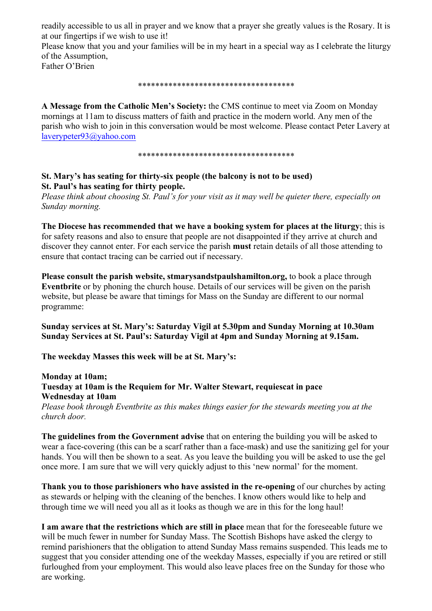readily accessible to us all in prayer and we know that a prayer she greatly values is the Rosary. It is at our fingertips if we wish to use it!

Please know that you and your families will be in my heart in a special way as I celebrate the liturgy of the Assumption,

Father O'Brien

## \*\*\*\*\*\*\*\*\*\*\*\*\*\*\*\*\*\*\*\*\*\*\*\*\*\*\*\*\*\*\*\*\*\*\*\*

**A Message from the Catholic Men's Society:** the CMS continue to meet via Zoom on Monday mornings at 11am to discuss matters of faith and practice in the modern world. Any men of the parish who wish to join in this conversation would be most welcome. Please contact Peter Lavery at laverypeter93@yahoo.com

\*\*\*\*\*\*\*\*\*\*\*\*\*\*\*\*\*\*\*\*\*\*\*\*\*\*\*\*\*\*\*\*\*\*\*\*

## **St. Mary's has seating for thirty-six people (the balcony is not to be used) St. Paul's has seating for thirty people.**

*Please think about choosing St. Paul's for your visit as it may well be quieter there, especially on Sunday morning.*

**The Diocese has recommended that we have a booking system for places at the liturgy**; this is for safety reasons and also to ensure that people are not disappointed if they arrive at church and discover they cannot enter. For each service the parish **must** retain details of all those attending to ensure that contact tracing can be carried out if necessary.

**Please consult the parish website, stmarysandstpaulshamilton.org,** to book a place through **Eventbrite** or by phoning the church house. Details of our services will be given on the parish website, but please be aware that timings for Mass on the Sunday are different to our normal programme:

**Sunday services at St. Mary's: Saturday Vigil at 5.30pm and Sunday Morning at 10.30am Sunday Services at St. Paul's: Saturday Vigil at 4pm and Sunday Morning at 9.15am.**

**The weekday Masses this week will be at St. Mary's:**

**Monday at 10am; Tuesday at 10am is the Requiem for Mr. Walter Stewart, requiescat in pace Wednesday at 10am** *Please book through Eventbrite as this makes things easier for the stewards meeting you at the* 

*church door.*

**The guidelines from the Government advise** that on entering the building you will be asked to wear a face-covering (this can be a scarf rather than a face-mask) and use the sanitizing gel for your hands. You will then be shown to a seat. As you leave the building you will be asked to use the gel once more. I am sure that we will very quickly adjust to this 'new normal' for the moment.

**Thank you to those parishioners who have assisted in the re-opening** of our churches by acting as stewards or helping with the cleaning of the benches. I know others would like to help and through time we will need you all as it looks as though we are in this for the long haul!

**I am aware that the restrictions which are still in place** mean that for the foreseeable future we will be much fewer in number for Sunday Mass. The Scottish Bishops have asked the clergy to remind parishioners that the obligation to attend Sunday Mass remains suspended. This leads me to suggest that you consider attending one of the weekday Masses, especially if you are retired or still furloughed from your employment. This would also leave places free on the Sunday for those who are working.